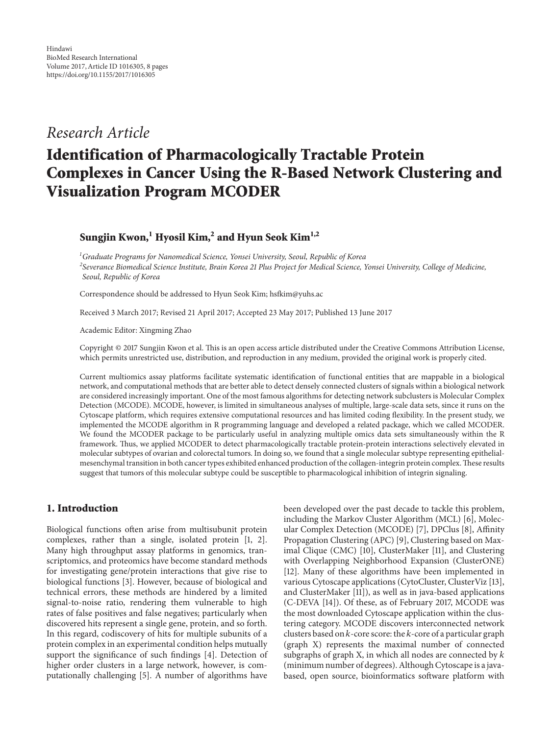## *Research Article*

# **Identification of Pharmacologically Tractable Protein Complexes in Cancer Using the R-Based Network Clustering and Visualization Program MCODER**

**Sungjin Kwon,1 Hyosil Kim,<sup>2</sup> and Hyun Seok Kim1,2**

*1 Graduate Programs for Nanomedical Science, Yonsei University, Seoul, Republic of Korea 2 Severance Biomedical Science Institute, Brain Korea 21 Plus Project for Medical Science, Yonsei University, College of Medicine, Seoul, Republic of Korea*

Correspondence should be addressed to Hyun Seok Kim; hsfkim@yuhs.ac

Received 3 March 2017; Revised 21 April 2017; Accepted 23 May 2017; Published 13 June 2017

Academic Editor: Xingming Zhao

Copyright © 2017 Sungjin Kwon et al. This is an open access article distributed under the Creative Commons Attribution License, which permits unrestricted use, distribution, and reproduction in any medium, provided the original work is properly cited.

Current multiomics assay platforms facilitate systematic identification of functional entities that are mappable in a biological network, and computational methods that are better able to detect densely connected clusters of signals within a biological network are considered increasingly important. One of the most famous algorithms for detecting network subclusters is Molecular Complex Detection (MCODE). MCODE, however, is limited in simultaneous analyses of multiple, large-scale data sets, since it runs on the Cytoscape platform, which requires extensive computational resources and has limited coding flexibility. In the present study, we implemented the MCODE algorithm in R programming language and developed a related package, which we called MCODER. We found the MCODER package to be particularly useful in analyzing multiple omics data sets simultaneously within the R framework. Thus, we applied MCODER to detect pharmacologically tractable protein-protein interactions selectively elevated in molecular subtypes of ovarian and colorectal tumors. In doing so, we found that a single molecular subtype representing epithelialmesenchymal transition in both cancer types exhibited enhanced production of the collagen-integrin protein complex.These results suggest that tumors of this molecular subtype could be susceptible to pharmacological inhibition of integrin signaling.

### **1. Introduction**

Biological functions often arise from multisubunit protein complexes, rather than a single, isolated protein [\[1](#page-6-0), [2\]](#page-6-1). Many high throughput assay platforms in genomics, transcriptomics, and proteomics have become standard methods for investigating gene/protein interactions that give rise to biological functions [\[3\]](#page-6-2). However, because of biological and technical errors, these methods are hindered by a limited signal-to-noise ratio, rendering them vulnerable to high rates of false positives and false negatives; particularly when discovered hits represent a single gene, protein, and so forth. In this regard, codiscovery of hits for multiple subunits of a protein complex in an experimental condition helps mutually support the significance of such findings [\[4](#page-6-3)]. Detection of higher order clusters in a large network, however, is computationally challenging [\[5](#page-6-4)]. A number of algorithms have

been developed over the past decade to tackle this problem, including the Markov Cluster Algorithm (MCL) [\[6](#page-6-5)], Molecular Complex Detection (MCODE) [\[7\]](#page-6-6), DPClus [\[8](#page-6-7)], Affinity Propagation Clustering (APC) [\[9](#page-6-8)], Clustering based on Maximal Clique (CMC) [\[10\]](#page-6-9), ClusterMaker [\[11](#page-6-10)], and Clustering with Overlapping Neighborhood Expansion (ClusterONE) [\[12](#page-6-11)]. Many of these algorithms have been implemented in various Cytoscape applications (CytoCluster, ClusterViz [\[13\]](#page-6-12), and ClusterMaker [\[11\]](#page-6-10)), as well as in java-based applications (C-DEVA [\[14](#page-6-13)]). Of these, as of February 2017, MCODE was the most downloaded Cytoscape application within the clustering category. MCODE discovers interconnected network clusters based on  $k$ -core score: the  $k$ -core of a particular graph (graph X) represents the maximal number of connected subgraphs of graph X, in which all nodes are connected by  $k$ (minimum number of degrees). Although Cytoscape is a javabased, open source, bioinformatics software platform with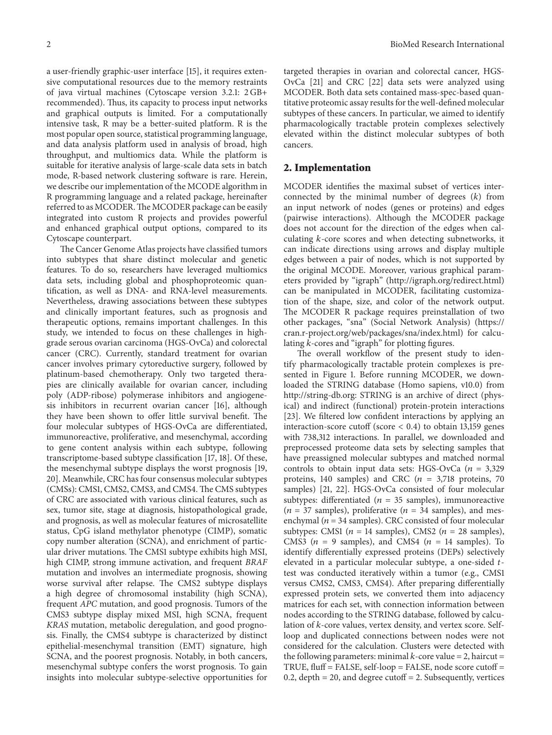a user-friendly graphic-user interface [\[15\]](#page-6-14), it requires extensive computational resources due to the memory restraints of java virtual machines (Cytoscape version 3.2.1: 2 GB+ recommended). Thus, its capacity to process input networks and graphical outputs is limited. For a computationally intensive task, R may be a better-suited platform. R is the most popular open source, statistical programming language, and data analysis platform used in analysis of broad, high throughput, and multiomics data. While the platform is suitable for iterative analysis of large-scale data sets in batch mode, R-based network clustering software is rare. Herein, we describe our implementation of the MCODE algorithm in R programming language and a related package, hereinafter referred to as MCODER.The MCODER package can be easily integrated into custom R projects and provides powerful and enhanced graphical output options, compared to its Cytoscape counterpart.

The Cancer Genome Atlas projects have classified tumors into subtypes that share distinct molecular and genetic features. To do so, researchers have leveraged multiomics data sets, including global and phosphoproteomic quantification, as well as DNA- and RNA-level measurements. Nevertheless, drawing associations between these subtypes and clinically important features, such as prognosis and therapeutic options, remains important challenges. In this study, we intended to focus on these challenges in highgrade serous ovarian carcinoma (HGS-OvCa) and colorectal cancer (CRC). Currently, standard treatment for ovarian cancer involves primary cytoreductive surgery, followed by platinum-based chemotherapy. Only two targeted therapies are clinically available for ovarian cancer, including poly (ADP-ribose) polymerase inhibitors and angiogenesis inhibitors in recurrent ovarian cancer [\[16](#page-6-15)], although they have been shown to offer little survival benefit. The four molecular subtypes of HGS-OvCa are differentiated, immunoreactive, proliferative, and mesenchymal, according to gene content analysis within each subtype, following transcriptome-based subtype classification [\[17,](#page-6-16) [18\]](#page-6-17). Of these, the mesenchymal subtype displays the worst prognosis [\[19](#page-6-18), [20](#page-6-19)]. Meanwhile, CRC has four consensus molecular subtypes (CMSs): CMS1, CMS2, CMS3, and CMS4. The CMS subtypes of CRC are associated with various clinical features, such as sex, tumor site, stage at diagnosis, histopathological grade, and prognosis, as well as molecular features of microsatellite status, CpG island methylator phenotype (CIMP), somatic copy number alteration (SCNA), and enrichment of particular driver mutations. The CMS1 subtype exhibits high MSI, high CIMP, strong immune activation, and frequent *BRAF* mutation and involves an intermediate prognosis, showing worse survival after relapse. The CMS2 subtype displays a high degree of chromosomal instability (high SCNA), frequent *APC* mutation, and good prognosis. Tumors of the CMS3 subtype display mixed MSI, high SCNA, frequent *KRAS* mutation, metabolic deregulation, and good prognosis. Finally, the CMS4 subtype is characterized by distinct epithelial-mesenchymal transition (EMT) signature, high SCNA, and the poorest prognosis. Notably, in both cancers, mesenchymal subtype confers the worst prognosis. To gain insights into molecular subtype-selective opportunities for

targeted therapies in ovarian and colorectal cancer, HGS-OvCa [\[21](#page-6-20)] and CRC [\[22\]](#page-6-21) data sets were analyzed using MCODER. Both data sets contained mass-spec-based quantitative proteomic assay results for the well-defined molecular subtypes of these cancers. In particular, we aimed to identify pharmacologically tractable protein complexes selectively elevated within the distinct molecular subtypes of both cancers.

#### **2. Implementation**

MCODER identifies the maximal subset of vertices interconnected by the minimal number of degrees  $(k)$  from an input network of nodes (genes or proteins) and edges (pairwise interactions). Although the MCODER package does not account for the direction of the edges when calculating  $k$ -core scores and when detecting subnetworks, it can indicate directions using arrows and display multiple edges between a pair of nodes, which is not supported by the original MCODE. Moreover, various graphical parameters provided by "igraph" [\(http://igraph.org/redirect.html\)](http://igraph.org/redirect.html) can be manipulated in MCODER, facilitating customization of the shape, size, and color of the network output. The MCODER R package requires preinstallation of two other packages, "sna" (Social Network Analysis) [\(https://](https://cran.r-project.org/web/packages/sna/index.html) [cran.r-project.org/web/packages/sna/index.html\)](https://cran.r-project.org/web/packages/sna/index.html) for calculating  $k$ -cores and "igraph" for plotting figures.

The overall workflow of the present study to identify pharmacologically tractable protein complexes is presented in Figure [1.](#page-2-0) Before running MCODER, we downloaded the STRING database (Homo sapiens, v10.0) from [http://string-db.org:](http://string-db.org) STRING is an archive of direct (physical) and indirect (functional) protein-protein interactions [\[23](#page-6-22)]. We filtered low confident interactions by applying an interaction-score cutoff (score < 0.4) to obtain 13,159 genes with 738,312 interactions. In parallel, we downloaded and preprocessed proteome data sets by selecting samples that have preassigned molecular subtypes and matched normal controls to obtain input data sets: HGS-OvCa ( $n = 3,329$ ) proteins, 140 samples) and CRC ( $n = 3,718$  proteins, 70 samples) [\[21](#page-6-20), [22\]](#page-6-21). HGS-OvCa consisted of four molecular subtypes: differentiated ( $n = 35$  samples), immunoreactive  $(n = 37$  samples), proliferative  $(n = 34$  samples), and mesenchymal ( $n = 34$  samples). CRC consisted of four molecular subtypes: CMS1 ( $n = 14$  samples), CMS2 ( $n = 28$  samples), CMS3 ( $n = 9$  samples), and CMS4 ( $n = 14$  samples). To identify differentially expressed proteins (DEPs) selectively elevated in a particular molecular subtype, a one-sided  $t$ test was conducted iteratively within a tumor (e.g., CMS1 versus CMS2, CMS3, CMS4). After preparing differentially expressed protein sets, we converted them into adjacency matrices for each set, with connection information between nodes according to the STRING database, followed by calculation of  $k$ -core values, vertex density, and vertex score. Selfloop and duplicated connections between nodes were not considered for the calculation. Clusters were detected with the following parameters: minimal  $k$ -core value = 2, haircut = TRUE, fluff = FALSE, self-loop = FALSE, node score cutoff = 0.2, depth  $= 20$ , and degree cutoff  $= 2$ . Subsequently, vertices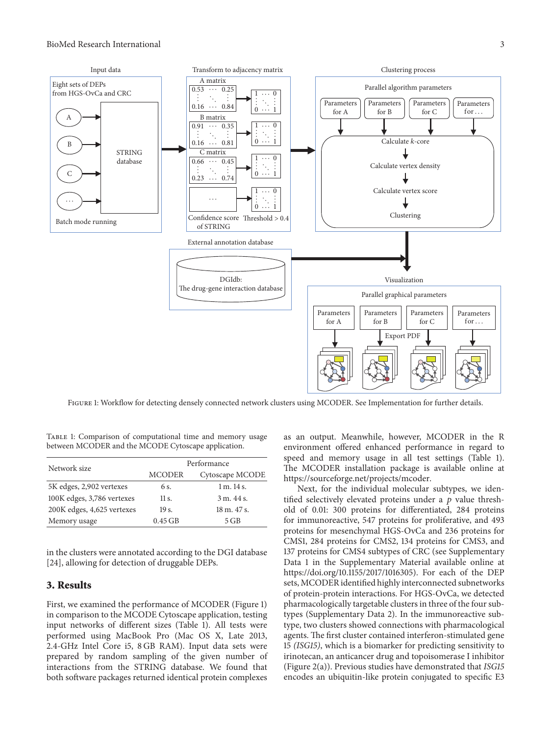

<span id="page-2-0"></span>Figure 1: Workflow for detecting densely connected network clusters using MCODER. See Implementation for further details.

<span id="page-2-1"></span>TABLE 1: Comparison of computational time and memory usage between MCODER and the MCODE Cytoscape application.

| Network size               | Performance   |                 |
|----------------------------|---------------|-----------------|
|                            | <b>MCODER</b> | Cytoscape MCODE |
| 5K edges, 2,902 vertexes   | 6 s.          | 1 m. 14 s.      |
| 100K edges, 3,786 vertexes | 11 s.         | 3 m.44 s.       |
| 200K edges, 4,625 vertexes | $19s$ .       | 18 m. 47 s.     |
| Memory usage               | $0.45$ GB     | 5 GB            |

in the clusters were annotated according to the DGI database [\[24](#page-6-23)], allowing for detection of druggable DEPs.

#### **3. Results**

First, we examined the performance of MCODER (Figure [1\)](#page-2-0) in comparison to the MCODE Cytoscape application, testing input networks of different sizes (Table [1\)](#page-2-1). All tests were performed using MacBook Pro (Mac OS X, Late 2013, 2.4-GHz Intel Core i5, 8 GB RAM). Input data sets were prepared by random sampling of the given number of interactions from the STRING database. We found that both software packages returned identical protein complexes

as an output. Meanwhile, however, MCODER in the R environment offered enhanced performance in regard to speed and memory usage in all test settings (Table [1\)](#page-2-1). The MCODER installation package is available online at [https://sourceforge.net/projects/mcoder.](https://sourceforge.net/projects/mcoder)

Next, for the individual molecular subtypes, we identified selectively elevated proteins under a  $p$  value threshold of 0.01: 300 proteins for differentiated, 284 proteins for immunoreactive, 547 proteins for proliferative, and 493 proteins for mesenchymal HGS-OvCa and 236 proteins for CMS1, 284 proteins for CMS2, 134 proteins for CMS3, and 137 proteins for CMS4 subtypes of CRC (see Supplementary Data 1 in the Supplementary Material available online at [https://doi.org/10.1155/2017/1016305\)](https://doi.org/10.1155/2017/1016305). For each of the DEP sets, MCODER identified highly interconnected subnetworks of protein-protein interactions. For HGS-OvCa, we detected pharmacologically targetable clusters in three of the four subtypes (Supplementary Data 2). In the immunoreactive subtype, two clusters showed connections with pharmacological agents. The first cluster contained interferon-stimulated gene 15 *(ISG15)*, which is a biomarker for predicting sensitivity to irinotecan, an anticancer drug and topoisomerase I inhibitor (Figure [2\(](#page-3-0)a)). Previous studies have demonstrated that *ISG15* encodes an ubiquitin-like protein conjugated to specific E3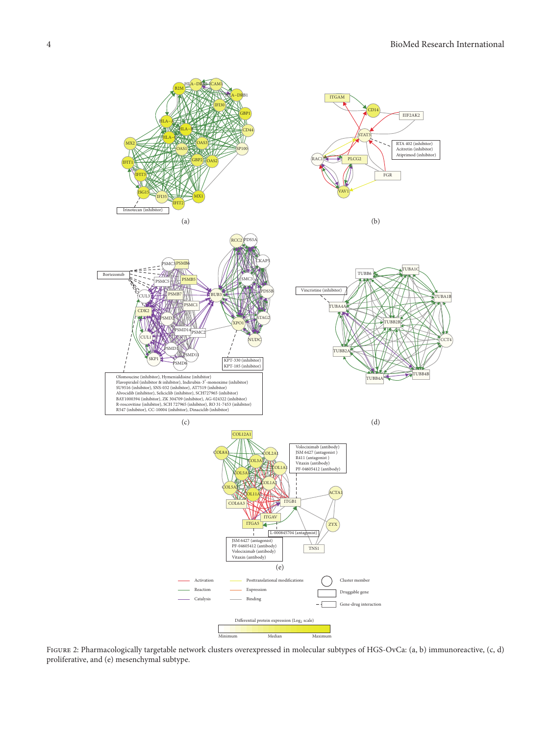

<span id="page-3-0"></span>Figure 2: Pharmacologically targetable network clusters overexpressed in molecular subtypes of HGS-OvCa: (a, b) immunoreactive, (c, d) proliferative, and (e) mesenchymal subtype.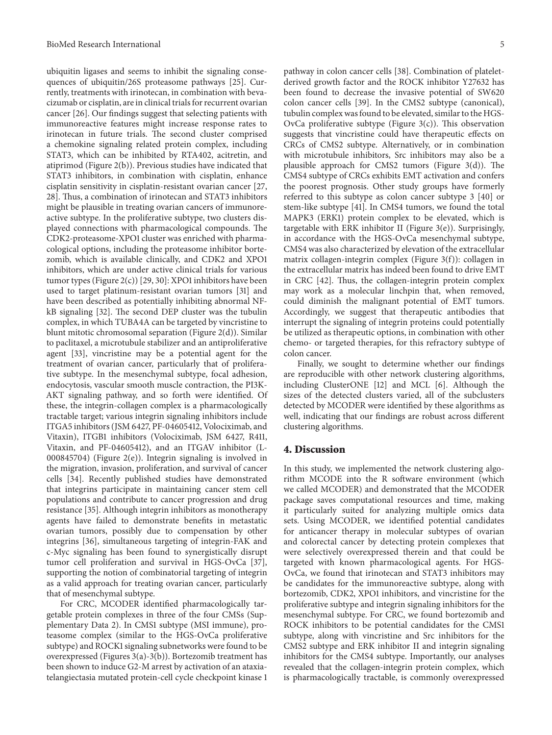ubiquitin ligases and seems to inhibit the signaling consequences of ubiquitin/26S proteasome pathways [\[25\]](#page-6-24). Currently, treatments with irinotecan, in combination with bevacizumab or cisplatin, are in clinical trials for recurrent ovarian cancer [\[26\]](#page-6-25). Our findings suggest that selecting patients with immunoreactive features might increase response rates to irinotecan in future trials. The second cluster comprised a chemokine signaling related protein complex, including STAT3, which can be inhibited by RTA402, acitretin, and atiprimod (Figure [2\(](#page-3-0)b)). Previous studies have indicated that STAT3 inhibitors, in combination with cisplatin, enhance cisplatin sensitivity in cisplatin-resistant ovarian cancer [\[27](#page-6-26), [28](#page-6-27)]. Thus, a combination of irinotecan and STAT3 inhibitors might be plausible in treating ovarian cancers of immunoreactive subtype. In the proliferative subtype, two clusters displayed connections with pharmacological compounds. The CDK2-proteasome-XPO1 cluster was enriched with pharmacological options, including the proteasome inhibitor bortezomib, which is available clinically, and CDK2 and XPO1 inhibitors, which are under active clinical trials for various tumor types (Figure [2\(](#page-3-0)c)) [\[29,](#page-7-0) [30\]](#page-7-1): XPO1 inhibitors have been used to target platinum-resistant ovarian tumors [\[31](#page-7-2)] and have been described as potentially inhibiting abnormal NFkB signaling [\[32\]](#page-7-3). The second DEP cluster was the tubulin complex, in which TUBA4A can be targeted by vincristine to blunt mitotic chromosomal separation (Figure [2\(](#page-3-0)d)). Similar to paclitaxel, a microtubule stabilizer and an antiproliferative agent [\[33](#page-7-4)], vincristine may be a potential agent for the treatment of ovarian cancer, particularly that of proliferative subtype. In the mesenchymal subtype, focal adhesion, endocytosis, vascular smooth muscle contraction, the PI3K-AKT signaling pathway, and so forth were identified. Of these, the integrin-collagen complex is a pharmacologically tractable target; various integrin signaling inhibitors include ITGA5 inhibitors (JSM 6427, PF-04605412, Volociximab, and Vitaxin), ITGB1 inhibitors (Volociximab, JSM 6427, R411, Vitaxin, and PF-04605412), and an ITGAV inhibitor (L-000845704) (Figure [2\(](#page-3-0)e)). Integrin signaling is involved in the migration, invasion, proliferation, and survival of cancer cells [\[34\]](#page-7-5). Recently published studies have demonstrated that integrins participate in maintaining cancer stem cell populations and contribute to cancer progression and drug resistance [\[35](#page-7-6)]. Although integrin inhibitors as monotherapy agents have failed to demonstrate benefits in metastatic ovarian tumors, possibly due to compensation by other integrins [\[36](#page-7-7)], simultaneous targeting of integrin-FAK and c-Myc signaling has been found to synergistically disrupt tumor cell proliferation and survival in HGS-OvCa [\[37\]](#page-7-8), supporting the notion of combinatorial targeting of integrin as a valid approach for treating ovarian cancer, particularly that of mesenchymal subtype.

For CRC, MCODER identified pharmacologically targetable protein complexes in three of the four CMSs (Supplementary Data 2). In CMS1 subtype (MSI immune), proteasome complex (similar to the HGS-OvCa proliferative subtype) and ROCK1 signaling subnetworks were found to be overexpressed (Figures [3\(](#page-5-0)a)[-3\(](#page-5-0)b)). Bortezomib treatment has been shown to induce G2-M arrest by activation of an ataxiatelangiectasia mutated protein-cell cycle checkpoint kinase 1

pathway in colon cancer cells [\[38](#page-7-9)]. Combination of plateletderived growth factor and the ROCK inhibitor Y27632 has been found to decrease the invasive potential of SW620 colon cancer cells [\[39\]](#page-7-10). In the CMS2 subtype (canonical), tubulin complex was found to be elevated, similar to the HGS-OvCa proliferative subtype (Figure  $3(c)$ ). This observation suggests that vincristine could have therapeutic effects on CRCs of CMS2 subtype. Alternatively, or in combination with microtubule inhibitors, Src inhibitors may also be a plausible approach for CMS2 tumors (Figure [3\(](#page-5-0)d)). The CMS4 subtype of CRCs exhibits EMT activation and confers the poorest prognosis. Other study groups have formerly referred to this subtype as colon cancer subtype 3 [\[40\]](#page-7-11) or stem-like subtype [\[41\]](#page-7-12). In CMS4 tumors, we found the total MAPK3 (ERK1) protein complex to be elevated, which is targetable with ERK inhibitor II (Figure [3\(](#page-5-0)e)). Surprisingly, in accordance with the HGS-OvCa mesenchymal subtype, CMS4 was also characterized by elevation of the extracellular matrix collagen-integrin complex (Figure [3\(](#page-5-0)f)): collagen in the extracellular matrix has indeed been found to drive EMT in CRC [\[42](#page-7-13)]. Thus, the collagen-integrin protein complex may work as a molecular linchpin that, when removed, could diminish the malignant potential of EMT tumors. Accordingly, we suggest that therapeutic antibodies that interrupt the signaling of integrin proteins could potentially be utilized as therapeutic options, in combination with other chemo- or targeted therapies, for this refractory subtype of colon cancer.

Finally, we sought to determine whether our findings are reproducible with other network clustering algorithms, including ClusterONE [\[12\]](#page-6-11) and MCL [\[6\]](#page-6-5). Although the sizes of the detected clusters varied, all of the subclusters detected by MCODER were identified by these algorithms as well, indicating that our findings are robust across different clustering algorithms.

#### **4. Discussion**

In this study, we implemented the network clustering algorithm MCODE into the R software environment (which we called MCODER) and demonstrated that the MCODER package saves computational resources and time, making it particularly suited for analyzing multiple omics data sets. Using MCODER, we identified potential candidates for anticancer therapy in molecular subtypes of ovarian and colorectal cancer by detecting protein complexes that were selectively overexpressed therein and that could be targeted with known pharmacological agents. For HGS-OvCa, we found that irinotecan and STAT3 inhibitors may be candidates for the immunoreactive subtype, along with bortezomib, CDK2, XPO1 inhibitors, and vincristine for the proliferative subtype and integrin signaling inhibitors for the mesenchymal subtype. For CRC, we found bortezomib and ROCK inhibitors to be potential candidates for the CMS1 subtype, along with vincristine and Src inhibitors for the CMS2 subtype and ERK inhibitor II and integrin signaling inhibitors for the CMS4 subtype. Importantly, our analyses revealed that the collagen-integrin protein complex, which is pharmacologically tractable, is commonly overexpressed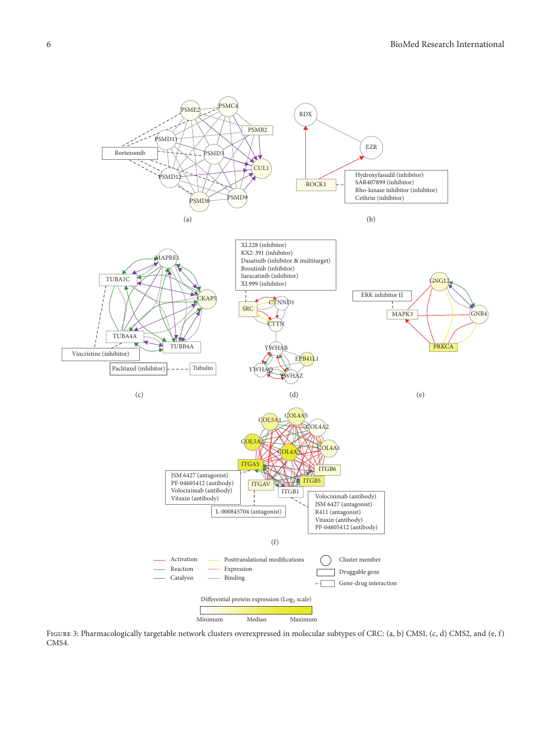

<span id="page-5-0"></span>Figure 3: Pharmacologically targetable network clusters overexpressed in molecular subtypes of CRC: (a, b) CMS1, (c, d) CMS2, and (e, f) CMS4.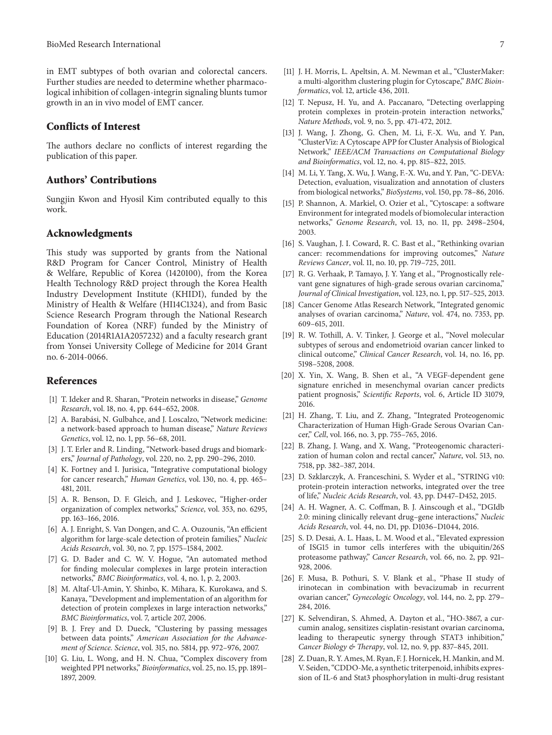in EMT subtypes of both ovarian and colorectal cancers. Further studies are needed to determine whether pharmacological inhibition of collagen-integrin signaling blunts tumor growth in an in vivo model of EMT cancer.

#### **Conflicts of Interest**

The authors declare no conflicts of interest regarding the publication of this paper.

#### **Authors' Contributions**

Sungjin Kwon and Hyosil Kim contributed equally to this work.

#### **Acknowledgments**

This study was supported by grants from the National R&D Program for Cancer Control, Ministry of Health & Welfare, Republic of Korea (1420100), from the Korea Health Technology R&D project through the Korea Health Industry Development Institute (KHIDI), funded by the Ministry of Health & Welfare (HI14C1324), and from Basic Science Research Program through the National Research Foundation of Korea (NRF) funded by the Ministry of Education (2014R1A1A2057232) and a faculty research grant from Yonsei University College of Medicine for 2014 Grant no. 6-2014-0066.

#### **References**

- <span id="page-6-0"></span>[1] T. Ideker and R. Sharan, "Protein networks in disease," *Genome Research*, vol. 18, no. 4, pp. 644–652, 2008.
- <span id="page-6-1"></span>[2] A. Barabási, N. Gulbahce, and J. Loscalzo, "Network medicine: a network-based approach to human disease," *Nature Reviews Genetics*, vol. 12, no. 1, pp. 56–68, 2011.
- <span id="page-6-2"></span>[3] J. T. Erler and R. Linding, "Network-based drugs and biomarkers," *Journal of Pathology*, vol. 220, no. 2, pp. 290–296, 2010.
- <span id="page-6-3"></span>[4] K. Fortney and I. Jurisica, "Integrative computational biology for cancer research," *Human Genetics*, vol. 130, no. 4, pp. 465– 481, 2011.
- <span id="page-6-4"></span>[5] A. R. Benson, D. F. Gleich, and J. Leskovec, "Higher-order organization of complex networks," *Science*, vol. 353, no. 6295, pp. 163–166, 2016.
- <span id="page-6-5"></span>[6] A. J. Enright, S. Van Dongen, and C. A. Ouzounis, "An efficient algorithm for large-scale detection of protein families," *Nucleic Acids Research*, vol. 30, no. 7, pp. 1575–1584, 2002.
- <span id="page-6-6"></span>[7] G. D. Bader and C. W. V. Hogue, "An automated method for finding molecular complexes in large protein interaction networks," *BMC Bioinformatics*, vol. 4, no. 1, p. 2, 2003.
- <span id="page-6-7"></span>[8] M. Altaf-Ul-Amin, Y. Shinbo, K. Mihara, K. Kurokawa, and S. Kanaya, "Development and implementation of an algorithm for detection of protein complexes in large interaction networks," *BMC Bioinformatics*, vol. 7, article 207, 2006.
- <span id="page-6-8"></span>[9] B. J. Frey and D. Dueck, "Clustering by passing messages between data points," *American Association for the Advancement of Science. Science*, vol. 315, no. 5814, pp. 972–976, 2007.
- <span id="page-6-9"></span>[10] G. Liu, L. Wong, and H. N. Chua, "Complex discovery from weighted PPI networks," *Bioinformatics*, vol. 25, no. 15, pp. 1891– 1897, 2009.
- <span id="page-6-10"></span>[11] J. H. Morris, L. Apeltsin, A. M. Newman et al., "ClusterMaker: a multi-algorithm clustering plugin for Cytoscape," *BMC Bioinformatics*, vol. 12, article 436, 2011.
- <span id="page-6-11"></span>[12] T. Nepusz, H. Yu, and A. Paccanaro, "Detecting overlapping protein complexes in protein-protein interaction networks, *Nature Methods*, vol. 9, no. 5, pp. 471-472, 2012.
- <span id="page-6-12"></span>[13] J. Wang, J. Zhong, G. Chen, M. Li, F.-X. Wu, and Y. Pan, "ClusterViz: A Cytoscape APP for Cluster Analysis of Biological Network," *IEEE/ACM Transactions on Computational Biology and Bioinformatics*, vol. 12, no. 4, pp. 815–822, 2015.
- <span id="page-6-13"></span>[14] M. Li, Y. Tang, X. Wu, J. Wang, F.-X. Wu, and Y. Pan, "C-DEVA: Detection, evaluation, visualization and annotation of clusters from biological networks," *BioSystems*, vol. 150, pp. 78–86, 2016.
- <span id="page-6-14"></span>[15] P. Shannon, A. Markiel, O. Ozier et al., "Cytoscape: a software Environment for integrated models of biomolecular interaction networks," *Genome Research*, vol. 13, no. 11, pp. 2498–2504, 2003.
- <span id="page-6-15"></span>[16] S. Vaughan, J. I. Coward, R. C. Bast et al., "Rethinking ovarian cancer: recommendations for improving outcomes," *Nature Reviews Cancer*, vol. 11, no. 10, pp. 719–725, 2011.
- <span id="page-6-16"></span>[17] R. G. Verhaak, P. Tamayo, J. Y. Yang et al., "Prognostically relevant gene signatures of high-grade serous ovarian carcinoma," *Journal of Clinical Investigation*, vol. 123, no. 1, pp. 517–525, 2013.
- <span id="page-6-17"></span>[18] Cancer Genome Atlas Research Network, "Integrated genomic analyses of ovarian carcinoma," *Nature*, vol. 474, no. 7353, pp. 609–615, 2011.
- <span id="page-6-18"></span>[19] R. W. Tothill, A. V. Tinker, J. George et al., "Novel molecular subtypes of serous and endometrioid ovarian cancer linked to clinical outcome," *Clinical Cancer Research*, vol. 14, no. 16, pp. 5198–5208, 2008.
- <span id="page-6-19"></span>[20] X. Yin, X. Wang, B. Shen et al., "A VEGF-dependent gene signature enriched in mesenchymal ovarian cancer predicts patient prognosis," *Scientific Reports*, vol. 6, Article ID 31079, 2016.
- <span id="page-6-20"></span>[21] H. Zhang, T. Liu, and Z. Zhang, "Integrated Proteogenomic Characterization of Human High-Grade Serous Ovarian Cancer," *Cell*, vol. 166, no. 3, pp. 755–765, 2016.
- <span id="page-6-21"></span>[22] B. Zhang, J. Wang, and X. Wang, "Proteogenomic characterization of human colon and rectal cancer," *Nature*, vol. 513, no. 7518, pp. 382–387, 2014.
- <span id="page-6-22"></span>[23] D. Szklarczyk, A. Franceschini, S. Wyder et al., "STRING v10: protein-protein interaction networks, integrated over the tree of life," *Nucleic Acids Research*, vol. 43, pp. D447–D452, 2015.
- <span id="page-6-23"></span>[24] A. H. Wagner, A. C. Coffman, B. J. Ainscough et al., "DGIdb 2.0: mining clinically relevant drug–gene interactions," *Nucleic Acids Research*, vol. 44, no. D1, pp. D1036–D1044, 2016.
- <span id="page-6-24"></span>[25] S. D. Desai, A. L. Haas, L. M. Wood et al., "Elevated expression of ISG15 in tumor cells interferes with the ubiquitin/26S proteasome pathway," *Cancer Research*, vol. 66, no. 2, pp. 921– 928, 2006.
- <span id="page-6-25"></span>[26] F. Musa, B. Pothuri, S. V. Blank et al., "Phase II study of irinotecan in combination with bevacizumab in recurrent ovarian cancer," *Gynecologic Oncology*, vol. 144, no. 2, pp. 279– 284, 2016.
- <span id="page-6-26"></span>[27] K. Selvendiran, S. Ahmed, A. Dayton et al., "HO-3867, a curcumin analog, sensitizes cisplatin-resistant ovarian carcinoma, leading to therapeutic synergy through STAT3 inhibition," *Cancer Biology & Therapy*, vol. 12, no. 9, pp. 837–845, 2011.
- <span id="page-6-27"></span>[28] Z. Duan, R. Y. Ames, M. Ryan, F. J. Hornicek, H. Mankin, and M. V. Seiden, "CDDO-Me, a synthetic triterpenoid, inhibits expression of IL-6 and Stat3 phosphorylation in multi-drug resistant